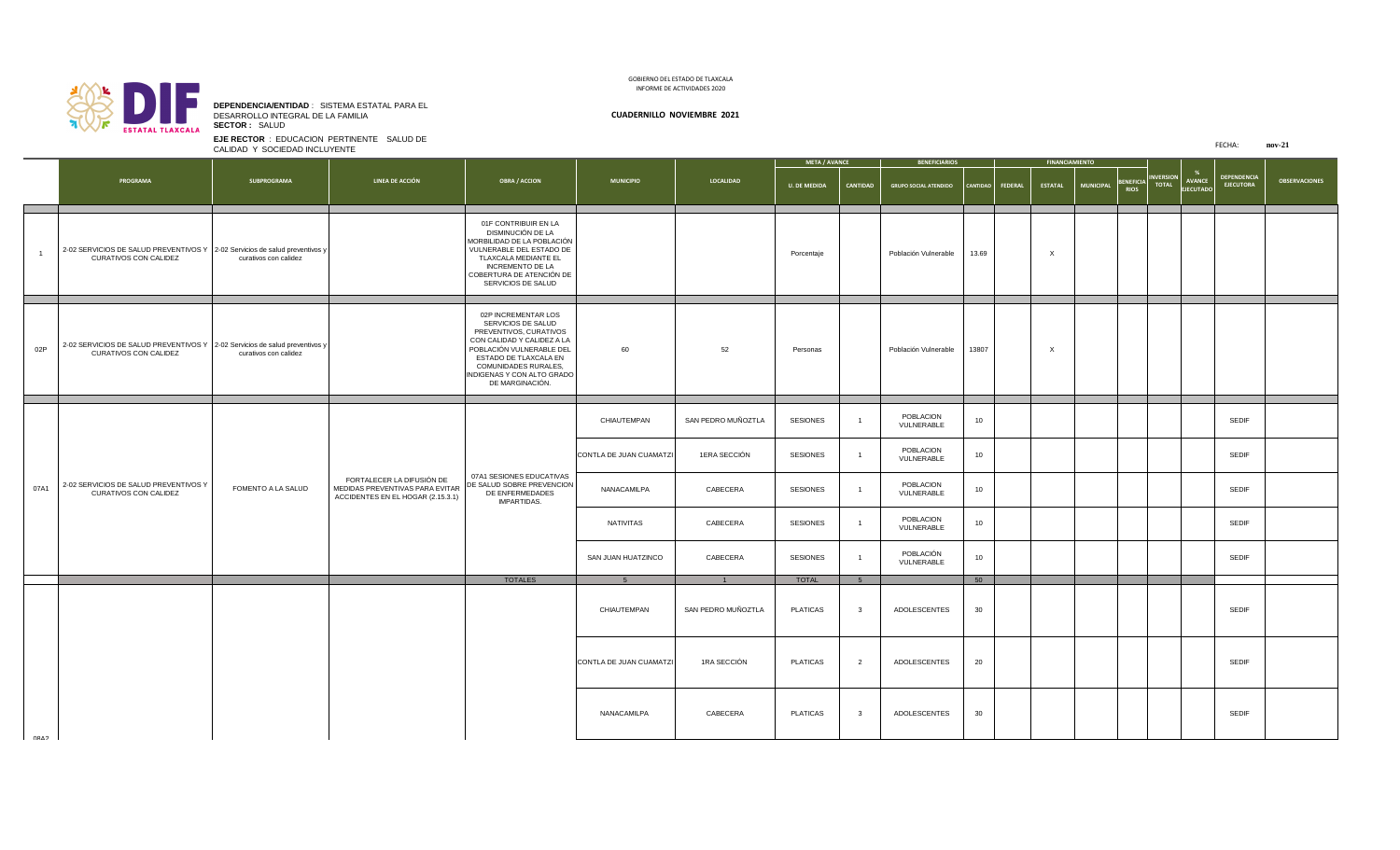FECHA: **nov-21**

|             |                                                                                                             |                           |                                                                                                   |                                                                                                                                                                                                                                        |                         |                    | <b>META / AVANCE</b> |                 | <b>BENEFICIARIOS</b>         |       |                    | <b>FINANCIAMIENTO</b> |                  |                                                                               |                                  |                            |                                        |                      |
|-------------|-------------------------------------------------------------------------------------------------------------|---------------------------|---------------------------------------------------------------------------------------------------|----------------------------------------------------------------------------------------------------------------------------------------------------------------------------------------------------------------------------------------|-------------------------|--------------------|----------------------|-----------------|------------------------------|-------|--------------------|-----------------------|------------------|-------------------------------------------------------------------------------|----------------------------------|----------------------------|----------------------------------------|----------------------|
|             | <b>PROGRAMA</b>                                                                                             | <b>SUBPROGRAMA</b>        | <b>LINEA DE ACCIÓN</b>                                                                            | <b>OBRA / ACCION</b>                                                                                                                                                                                                                   | <b>MUNICIPIO</b>        | <b>LOCALIDAD</b>   | <b>U. DE MEDIDA</b>  | <b>CANTIDAD</b> | <b>GRUPO SOCIAL ATENDIDO</b> |       | CANTIDAD   FEDERAL | <b>ESTATAL</b>        | <b>MUNICIPAL</b> | $\begin{bmatrix} \texttt{BERFICIA} \ \texttt{RIOS} \end{bmatrix}^{\text{in}}$ | <b>INVERSION</b><br><b>TOTAL</b> | AVANCE<br><b>EJECUTADO</b> | <b>DEPENDENCIA</b><br><b>EJECUTORA</b> | <b>OBSERVACIONES</b> |
|             | 2-02 SERVICIOS DE SALUD PREVENTIVOS Y 2-02 Servicios de salud preventivos y<br><b>CURATIVOS CON CALIDEZ</b> | curativos con calidez     |                                                                                                   | 01F CONTRIBUIR EN LA<br>DISMINUCIÓN DE LA<br>MORBILIDAD DE LA POBLACIÓN<br>VULNERABLE DEL ESTADO DE<br>TLAXCALA MEDIANTE EL<br><b>INCREMENTO DE LA</b><br>COBERTURA DE ATENCIÓN DE<br>SERVICIOS DE SALUD                               |                         |                    | Porcentaje           |                 | Población Vulnerable         | 13.69 |                    |                       |                  |                                                                               |                                  |                            |                                        |                      |
| 02P         | 2-02 SERVICIOS DE SALUD PREVENTIVOS Y 2-02 Servicios de salud preventivos y<br><b>CURATIVOS CON CALIDEZ</b> | curativos con calidez     |                                                                                                   | 02P INCREMENTAR LOS<br>SERVICIOS DE SALUD<br>PREVENTIVOS, CURATIVOS<br>CON CALIDAD Y CALIDEZ A LA<br>POBLACIÓN VULNERABLE DEL<br>ESTADO DE TLAXCALA EN<br><b>COMUNIDADES RURALES,</b><br>INDIGENAS Y CON ALTO GRADO<br>DE MARGINACIÓN. | 60                      | 52                 | Personas             |                 | Población Vulnerable         | 13807 |                    |                       |                  |                                                                               |                                  |                            |                                        |                      |
|             |                                                                                                             |                           |                                                                                                   |                                                                                                                                                                                                                                        | CHIAUTEMPAN             | SAN PEDRO MUÑOZTLA | <b>SESIONES</b>      |                 | POBLACION<br>VULNERABLE      | 10    |                    |                       |                  |                                                                               |                                  |                            | <b>SEDIF</b>                           |                      |
|             |                                                                                                             |                           |                                                                                                   |                                                                                                                                                                                                                                        | CONTLA DE JUAN CUAMATZI | 1ERA SECCIÓN       | <b>SESIONES</b>      |                 | POBLACION<br>VULNERABLE      | 10    |                    |                       |                  |                                                                               |                                  |                            | <b>SEDIF</b>                           |                      |
| 07A1        | 2-02 SERVICIOS DE SALUD PREVENTIVOS Y<br><b>CURATIVOS CON CALIDEZ</b>                                       | <b>FOMENTO A LA SALUD</b> | FORTALECER LA DIFUSIÓN DE<br>MEDIDAS PREVENTIVAS PARA EVITAR<br>ACCIDENTES EN EL HOGAR (2.15.3.1) | 07A1 SESIONES EDUCATIVAS<br>DE SALUD SOBRE PREVENCION<br>DE ENFERMEDADES<br><b>IMPARTIDAS.</b>                                                                                                                                         | NANACAMILPA             | CABECERA           | <b>SESIONES</b>      |                 | POBLACION<br>VULNERABLE      | 10    |                    |                       |                  |                                                                               |                                  |                            | <b>SEDIF</b>                           |                      |
|             |                                                                                                             |                           |                                                                                                   |                                                                                                                                                                                                                                        | NATIVITAS               | CABECERA           | <b>SESIONES</b>      |                 | POBLACION<br>VULNERABLE      | 10    |                    |                       |                  |                                                                               |                                  |                            | <b>SEDIF</b>                           |                      |
|             |                                                                                                             |                           |                                                                                                   |                                                                                                                                                                                                                                        | SAN JUAN HUATZINCO      | CABECERA           | <b>SESIONES</b>      |                 | POBLACIÓN<br>VULNERABLE      | 10    |                    |                       |                  |                                                                               |                                  |                            | <b>SEDIF</b>                           |                      |
|             |                                                                                                             |                           |                                                                                                   | <b>TOTALES</b>                                                                                                                                                                                                                         | $5^{\circ}$             |                    | <b>TOTAL</b>         |                 |                              | 50    |                    |                       |                  |                                                                               |                                  |                            |                                        |                      |
|             |                                                                                                             |                           |                                                                                                   |                                                                                                                                                                                                                                        | CHIAUTEMPAN             | SAN PEDRO MUÑOZTLA | <b>PLATICAS</b>      | - 3             | ADOLESCENTES                 | 30    |                    |                       |                  |                                                                               |                                  |                            | <b>SEDIF</b>                           |                      |
|             |                                                                                                             |                           |                                                                                                   |                                                                                                                                                                                                                                        | CONTLA DE JUAN CUAMATZI | 1RA SECCIÓN        | <b>PLATICAS</b>      |                 | ADOLESCENTES                 | 20    |                    |                       |                  |                                                                               |                                  |                            | <b>SEDIF</b>                           |                      |
| <b>CARN</b> |                                                                                                             |                           |                                                                                                   |                                                                                                                                                                                                                                        | NANACAMILPA             | CABECERA           | <b>PLATICAS</b>      |                 | ADOLESCENTES                 | 30    |                    |                       |                  |                                                                               |                                  |                            | <b>SEDIF</b>                           |                      |

**EJE RECTOR** : EDUCACION PERTINENTE SALUD DE CALIDAD Y SOCIEDAD INCLUYENTE



## **DEPENDENCIA/ENTIDAD** : SISTEMA ESTATAL PARA EL DESARROLLO INTEGRAL DE LA FAMILIA **CUADERNILLO NOVIEMBRE 2021 SECTOR :** SALUD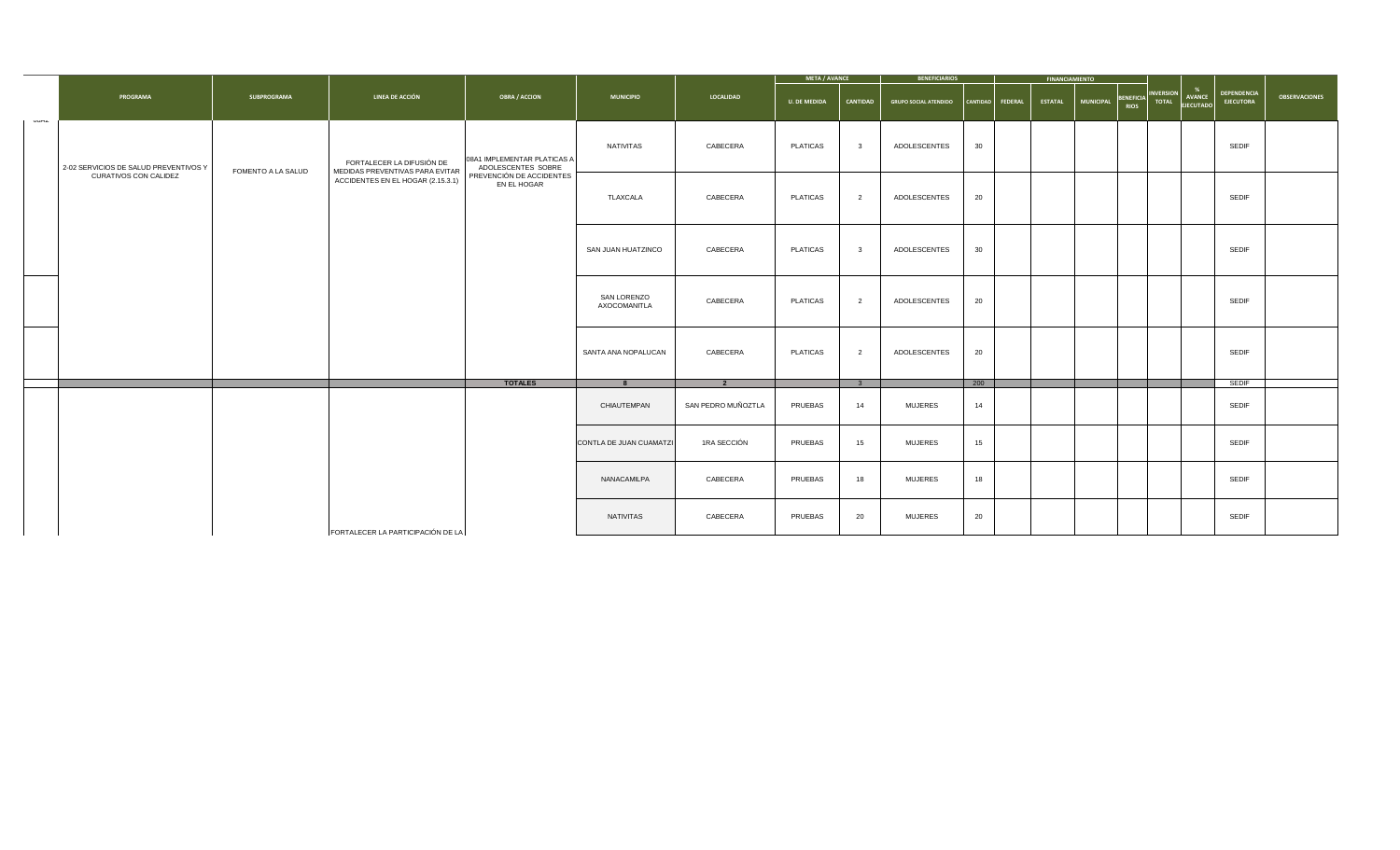|      |                                       |                           |                                                              |                                                   |                                    |                         | <b>META / AVANCE</b> |                         | <b>BENEFICIARIOS</b>         |                    | <b>FINANCIAMIENTO</b> |                  |                                                          |                                        |                      |
|------|---------------------------------------|---------------------------|--------------------------------------------------------------|---------------------------------------------------|------------------------------------|-------------------------|----------------------|-------------------------|------------------------------|--------------------|-----------------------|------------------|----------------------------------------------------------|----------------------------------------|----------------------|
|      | <b>PROGRAMA</b>                       | <b>SUBPROGRAMA</b>        | <b>LINEA DE ACCIÓN</b>                                       | <b>OBRA / ACCION</b>                              | <b>MUNICIPIO</b>                   | <b>LOCALIDAD</b>        | <b>U. DE MEDIDA</b>  | <b>CANTIDAD</b>         | <b>GRUPO SOCIAL ATENDIDO</b> | CANTIDAD   FEDERAL | <b>ESTATAL</b>        | <b>MUNICIPAL</b> | BENEFICIA INVERSION<br><b>AVANCE</b><br><b>EJECUTADO</b> | <b>DEPENDENCIA</b><br><b>EJECUTORA</b> | <b>OBSERVACIONES</b> |
| ∪ບ⊓∠ | 2-02 SERVICIOS DE SALUD PREVENTIVOS Y | <b>FOMENTO A LA SALUD</b> | FORTALECER LA DIFUSIÓN DE<br>MEDIDAS PREVENTIVAS PARA EVITAR | 08A1 IMPLEMENTAR PLATICAS A<br>ADOLESCENTES SOBRE | NATIVITAS                          | CABECERA                | <b>PLATICAS</b>      | $\overline{\mathbf{3}}$ | ADOLESCENTES                 | 30                 |                       |                  |                                                          | <b>SEDIF</b>                           |                      |
|      | <b>CURATIVOS CON CALIDEZ</b>          |                           | ACCIDENTES EN EL HOGAR (2.15.3.1)                            | PREVENCIÓN DE ACCIDENTES<br>EN EL HOGAR           | TLAXCALA                           | CABECERA                | <b>PLATICAS</b>      | $\overline{2}$          | ADOLESCENTES                 | 20                 |                       |                  |                                                          | <b>SEDIF</b>                           |                      |
|      |                                       |                           |                                                              |                                                   | SAN JUAN HUATZINCO                 | CABECERA                | <b>PLATICAS</b>      | - 3                     | ADOLESCENTES                 | 30                 |                       |                  |                                                          | <b>SEDIF</b>                           |                      |
|      |                                       |                           |                                                              |                                                   | <b>SAN LORENZO</b><br>AXOCOMANITLA | CABECERA                | <b>PLATICAS</b>      | $\overline{2}$          | ADOLESCENTES                 | 20                 |                       |                  |                                                          | <b>SEDIF</b>                           |                      |
|      |                                       |                           |                                                              |                                                   | SANTA ANA NOPALUCAN                | CABECERA                | <b>PLATICAS</b>      | $\overline{2}$          | ADOLESCENTES                 | 20                 |                       |                  |                                                          | <b>SEDIF</b>                           |                      |
|      |                                       |                           |                                                              | <b>TOTALES</b>                                    |                                    | $\overline{\mathbf{2}}$ |                      |                         |                              | 200                |                       |                  |                                                          | <b>SEDIF</b>                           |                      |
|      |                                       |                           |                                                              |                                                   | CHIAUTEMPAN                        | SAN PEDRO MUÑOZTLA      | <b>PRUEBAS</b>       | 14                      | <b>MUJERES</b>               | 14                 |                       |                  |                                                          | <b>SEDIF</b>                           |                      |
|      |                                       |                           |                                                              |                                                   | CONTLA DE JUAN CUAMATZI            | 1RA SECCIÓN             | <b>PRUEBAS</b>       | 15                      | <b>MUJERES</b>               | 15                 |                       |                  |                                                          | <b>SEDIF</b>                           |                      |
|      |                                       |                           |                                                              |                                                   | NANACAMILPA                        | CABECERA                | <b>PRUEBAS</b>       | 18                      | <b>MUJERES</b>               | 18                 |                       |                  |                                                          | <b>SEDIF</b>                           |                      |
|      |                                       |                           | FORTALECER LA PARTICIPACIÓN DE LA                            |                                                   | NATIVITAS                          | CABECERA                | <b>PRUEBAS</b>       | 20                      | <b>MUJERES</b>               | 20                 |                       |                  |                                                          | <b>SEDIF</b>                           |                      |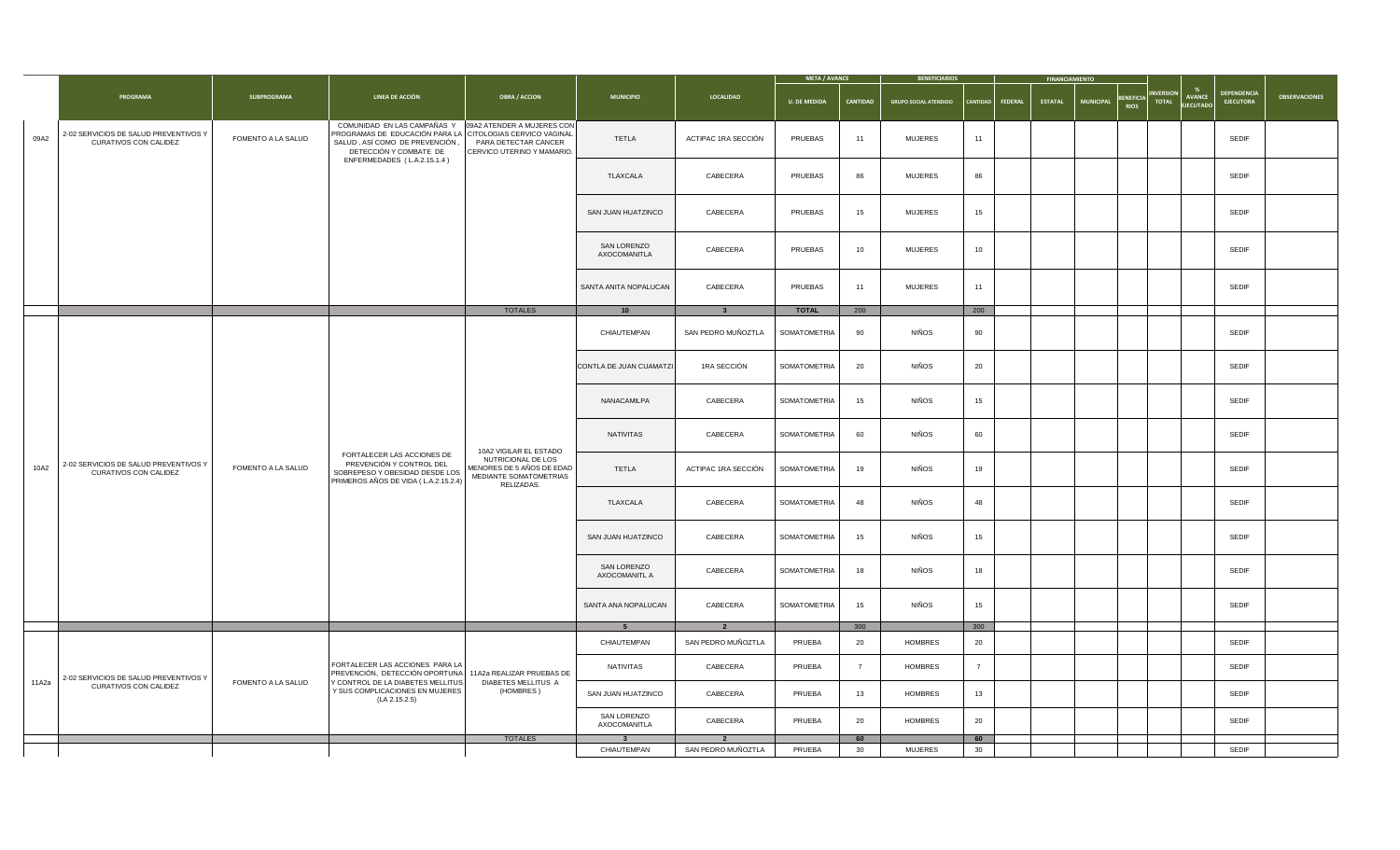| <b>DEPENDENCIA</b><br><b>_ INVERSION </b><br><b>LINEA DE ACCIÓN</b><br><b>PROGRAMA</b><br><b>OBRA / ACCION</b><br><b>OBSERVACIONES</b><br><b>SUBPROGRAMA</b><br><b>LOCALIDAD</b><br><b>MUNICIPIO</b><br>AVANCE<br><b>BENEFICIA</b><br><b>EJECUTORA</b><br><b>MUNICIPAL</b><br><b>TOTAL</b><br><b>U. DE MEDIDA</b><br><b>CANTIDAD</b><br><b>ESTATAL</b><br><b>GRUPO SOCIAL ATENDIDO</b><br>  CANTIDAD  <br><b>FEDERAL</b><br><b>EJECUTADO</b><br>COMUNIDAD EN LAS CAMPAÑAS Y<br>09A2 ATENDER A MUJERES CON<br>PROGRAMAS DE EDUCACIÓN PARA LA CITOLOGIAS CERVICO VAGINAL<br>2-02 SERVICIOS DE SALUD PREVENTIVOS Y<br>09A2<br><b>FOMENTO A LA SALUD</b><br><b>TETLA</b><br><b>PRUEBAS</b><br><b>SEDIF</b><br>ACTIPAC 1RA SECCIÓN<br><b>MUJERES</b><br>11<br>11<br>SALUD, ASÍ COMO DE PREVENCIÓN<br><b>CURATIVOS CON CALIDEZ</b><br>PARA DETECTAR CANCER<br>DETECCIÓN Y COMBATE DE<br>CERVICO UTERINO Y MAMARIO.<br>ENFERMEDADES (L.A.2.15.1.4)<br><b>PRUEBAS</b><br><b>SEDIF</b><br>CABECERA<br>86<br><b>MUJERES</b><br>TLAXCALA<br>86<br>CABECERA<br><b>PRUEBAS</b><br>15<br><b>MUJERES</b><br>15<br><b>SEDIF</b><br>SAN JUAN HUATZINCO<br><b>SAN LORENZO</b><br><b>PRUEBAS</b><br><b>SEDIF</b><br>CABECERA<br>10<br><b>MUJERES</b><br>10<br>AXOCOMANITLA<br><b>SEDIF</b><br>PRUEBAS<br>SANTA ANITA NOPALUCAN<br>CABECERA<br>11<br><b>MUJERES</b><br>11<br>200<br><b>TOTALES</b><br><b>TOTAL</b><br>200<br>10<br><b>NIÑOS</b><br>SAN PEDRO MUÑOZTLA<br>SOMATOMETRIA<br>CHIAUTEMPAN<br>90<br><b>SEDIF</b><br>90<br><b>NIÑOS</b><br>1RA SECCIÓN<br>20<br>CONTLA DE JUAN CUAMATZI<br>SOMATOMETRIA<br>20<br><b>SEDIF</b><br><b>NIÑOS</b><br>CABECERA<br><b>SEDIF</b><br>SOMATOMETRIA  <br>NANACAMILPA<br>15<br>15<br><b>NIÑOS</b><br>CABECERA<br><b>SEDIF</b><br>NATIVITAS<br>SOMATOMETRIA<br>60<br>60<br>10A2 VIGILAR EL ESTADO<br>FORTALECER LAS ACCIONES DE<br>NUTRICIONAL DE LOS<br>PREVENCIÓN Y CONTROL DEL<br>2-02 SERVICIOS DE SALUD PREVENTIVOS Y<br>10A2<br>MENORES DE 5 AÑOS DE EDAD<br><b>FOMENTO A LA SALUD</b><br><b>NIÑOS</b><br><b>TETLA</b><br>ACTIPAC 1RA SECCIÓN<br>19<br><b>SEDIF</b><br>SOMATOMETRIA<br>19<br><b>CURATIVOS CON CALIDEZ</b><br>SOBREPESO Y OBESIDAD DESDE LOS<br>MEDIANTE SOMATOMETRIAS<br>PRIMEROS AÑOS DE VIDA (L.A.2.15.2.4)<br>RELIZADAS.<br><b>NIÑOS</b><br>CABECERA<br><b>SEDIF</b><br>SOMATOMETRIA<br>TLAXCALA<br>48<br>48<br><b>NIÑOS</b><br><b>SEDIF</b><br>CABECERA<br>SOMATOMETRIA<br>15<br>SAN JUAN HUATZINCO<br>15<br><b>SAN LORENZO</b><br><b>NIÑOS</b><br>CABECERA<br><b>SEDIF</b><br>SOMATOMETRIA<br>18<br>18<br><b>AXOCOMANITL A</b><br>NIÑOS<br><b>SEDIF</b><br>CABECERA<br>SOMATOMETRIA<br>SANTA ANA NOPALUCAN<br>15<br>15<br>300<br>300<br><u>ຼາ</u><br><b>PRUEBA</b><br>20<br><b>SEDIF</b><br>SAN PEDRO MUÑOZTLA<br>20<br>CHIAUTEMPAN<br><b>HOMBRES</b><br>  FORTALECER LAS ACCIONES PARA LA  <br><b>PRUEBA</b><br><b>SEDIF</b><br><b>NATIVITAS</b><br>CABECERA<br><b>HOMBRES</b><br>PREVENCIÓN, DETECCIÓN OPORTUNA 11A2a REALIZAR PRUEBAS DE<br>2-02 SERVICIOS DE SALUD PREVENTIVOS Y<br>11A2a<br><b>FOMENTO A LA SALUD</b><br>Y CONTROL DE LA DIABETES MELLITUS<br><b>DIABETES MELLITUS A</b><br><b>CURATIVOS CON CALIDEZ</b><br>(HOMBRES)<br>Y SUS COMPLICACIONES EN MUJERES<br><b>PRUEBA</b><br><b>SEDIF</b><br>CABECERA<br>13<br><b>HOMBRES</b><br>SAN JUAN HUATZINCO<br>13<br>(LA 2.15.2.5)<br><b>SAN LORENZO</b><br>20<br>20<br>PRUEBA<br><b>SEDIF</b><br>CABECERA<br><b>HOMBRES</b><br>AXOCOMANITLA<br><b>TOTALES</b><br>60<br>60<br><b>SEDIF</b><br>SAN PEDRO MUÑOZTLA<br><b>PRUEBA</b><br>30 <sup>°</sup><br><b>MUJERES</b><br>30<br>CHIAUTEMPAN |  |  |  |  | <b>META / AVANCE</b> | <b>BENEFICIARIOS</b> |  | <b>FINANCIAMIENTO</b> |  |  |
|--------------------------------------------------------------------------------------------------------------------------------------------------------------------------------------------------------------------------------------------------------------------------------------------------------------------------------------------------------------------------------------------------------------------------------------------------------------------------------------------------------------------------------------------------------------------------------------------------------------------------------------------------------------------------------------------------------------------------------------------------------------------------------------------------------------------------------------------------------------------------------------------------------------------------------------------------------------------------------------------------------------------------------------------------------------------------------------------------------------------------------------------------------------------------------------------------------------------------------------------------------------------------------------------------------------------------------------------------------------------------------------------------------------------------------------------------------------------------------------------------------------------------------------------------------------------------------------------------------------------------------------------------------------------------------------------------------------------------------------------------------------------------------------------------------------------------------------------------------------------------------------------------------------------------------------------------------------------------------------------------------------------------------------------------------------------------------------------------------------------------------------------------------------------------------------------------------------------------------------------------------------------------------------------------------------------------------------------------------------------------------------------------------------------------------------------------------------------------------------------------------------------------------------------------------------------------------------------------------------------------------------------------------------------------------------------------------------------------------------------------------------------------------------------------------------------------------------------------------------------------------------------------------------------------------------------------------------------------------------------------------------------------------------------------------------------------------------------------------------------------------------------------------------------------------------------------------------------------------------------------------------------------------------------------------------------------------------------------------------------------------------------------------------------------------------------------------------------------------------------------------------------------------------------------------------------------------------------------------------|--|--|--|--|----------------------|----------------------|--|-----------------------|--|--|
|                                                                                                                                                                                                                                                                                                                                                                                                                                                                                                                                                                                                                                                                                                                                                                                                                                                                                                                                                                                                                                                                                                                                                                                                                                                                                                                                                                                                                                                                                                                                                                                                                                                                                                                                                                                                                                                                                                                                                                                                                                                                                                                                                                                                                                                                                                                                                                                                                                                                                                                                                                                                                                                                                                                                                                                                                                                                                                                                                                                                                                                                                                                                                                                                                                                                                                                                                                                                                                                                                                                                                                                                              |  |  |  |  |                      |                      |  |                       |  |  |
|                                                                                                                                                                                                                                                                                                                                                                                                                                                                                                                                                                                                                                                                                                                                                                                                                                                                                                                                                                                                                                                                                                                                                                                                                                                                                                                                                                                                                                                                                                                                                                                                                                                                                                                                                                                                                                                                                                                                                                                                                                                                                                                                                                                                                                                                                                                                                                                                                                                                                                                                                                                                                                                                                                                                                                                                                                                                                                                                                                                                                                                                                                                                                                                                                                                                                                                                                                                                                                                                                                                                                                                                              |  |  |  |  |                      |                      |  |                       |  |  |
|                                                                                                                                                                                                                                                                                                                                                                                                                                                                                                                                                                                                                                                                                                                                                                                                                                                                                                                                                                                                                                                                                                                                                                                                                                                                                                                                                                                                                                                                                                                                                                                                                                                                                                                                                                                                                                                                                                                                                                                                                                                                                                                                                                                                                                                                                                                                                                                                                                                                                                                                                                                                                                                                                                                                                                                                                                                                                                                                                                                                                                                                                                                                                                                                                                                                                                                                                                                                                                                                                                                                                                                                              |  |  |  |  |                      |                      |  |                       |  |  |
|                                                                                                                                                                                                                                                                                                                                                                                                                                                                                                                                                                                                                                                                                                                                                                                                                                                                                                                                                                                                                                                                                                                                                                                                                                                                                                                                                                                                                                                                                                                                                                                                                                                                                                                                                                                                                                                                                                                                                                                                                                                                                                                                                                                                                                                                                                                                                                                                                                                                                                                                                                                                                                                                                                                                                                                                                                                                                                                                                                                                                                                                                                                                                                                                                                                                                                                                                                                                                                                                                                                                                                                                              |  |  |  |  |                      |                      |  |                       |  |  |
|                                                                                                                                                                                                                                                                                                                                                                                                                                                                                                                                                                                                                                                                                                                                                                                                                                                                                                                                                                                                                                                                                                                                                                                                                                                                                                                                                                                                                                                                                                                                                                                                                                                                                                                                                                                                                                                                                                                                                                                                                                                                                                                                                                                                                                                                                                                                                                                                                                                                                                                                                                                                                                                                                                                                                                                                                                                                                                                                                                                                                                                                                                                                                                                                                                                                                                                                                                                                                                                                                                                                                                                                              |  |  |  |  |                      |                      |  |                       |  |  |
|                                                                                                                                                                                                                                                                                                                                                                                                                                                                                                                                                                                                                                                                                                                                                                                                                                                                                                                                                                                                                                                                                                                                                                                                                                                                                                                                                                                                                                                                                                                                                                                                                                                                                                                                                                                                                                                                                                                                                                                                                                                                                                                                                                                                                                                                                                                                                                                                                                                                                                                                                                                                                                                                                                                                                                                                                                                                                                                                                                                                                                                                                                                                                                                                                                                                                                                                                                                                                                                                                                                                                                                                              |  |  |  |  |                      |                      |  |                       |  |  |
|                                                                                                                                                                                                                                                                                                                                                                                                                                                                                                                                                                                                                                                                                                                                                                                                                                                                                                                                                                                                                                                                                                                                                                                                                                                                                                                                                                                                                                                                                                                                                                                                                                                                                                                                                                                                                                                                                                                                                                                                                                                                                                                                                                                                                                                                                                                                                                                                                                                                                                                                                                                                                                                                                                                                                                                                                                                                                                                                                                                                                                                                                                                                                                                                                                                                                                                                                                                                                                                                                                                                                                                                              |  |  |  |  |                      |                      |  |                       |  |  |
|                                                                                                                                                                                                                                                                                                                                                                                                                                                                                                                                                                                                                                                                                                                                                                                                                                                                                                                                                                                                                                                                                                                                                                                                                                                                                                                                                                                                                                                                                                                                                                                                                                                                                                                                                                                                                                                                                                                                                                                                                                                                                                                                                                                                                                                                                                                                                                                                                                                                                                                                                                                                                                                                                                                                                                                                                                                                                                                                                                                                                                                                                                                                                                                                                                                                                                                                                                                                                                                                                                                                                                                                              |  |  |  |  |                      |                      |  |                       |  |  |
|                                                                                                                                                                                                                                                                                                                                                                                                                                                                                                                                                                                                                                                                                                                                                                                                                                                                                                                                                                                                                                                                                                                                                                                                                                                                                                                                                                                                                                                                                                                                                                                                                                                                                                                                                                                                                                                                                                                                                                                                                                                                                                                                                                                                                                                                                                                                                                                                                                                                                                                                                                                                                                                                                                                                                                                                                                                                                                                                                                                                                                                                                                                                                                                                                                                                                                                                                                                                                                                                                                                                                                                                              |  |  |  |  |                      |                      |  |                       |  |  |
|                                                                                                                                                                                                                                                                                                                                                                                                                                                                                                                                                                                                                                                                                                                                                                                                                                                                                                                                                                                                                                                                                                                                                                                                                                                                                                                                                                                                                                                                                                                                                                                                                                                                                                                                                                                                                                                                                                                                                                                                                                                                                                                                                                                                                                                                                                                                                                                                                                                                                                                                                                                                                                                                                                                                                                                                                                                                                                                                                                                                                                                                                                                                                                                                                                                                                                                                                                                                                                                                                                                                                                                                              |  |  |  |  |                      |                      |  |                       |  |  |
|                                                                                                                                                                                                                                                                                                                                                                                                                                                                                                                                                                                                                                                                                                                                                                                                                                                                                                                                                                                                                                                                                                                                                                                                                                                                                                                                                                                                                                                                                                                                                                                                                                                                                                                                                                                                                                                                                                                                                                                                                                                                                                                                                                                                                                                                                                                                                                                                                                                                                                                                                                                                                                                                                                                                                                                                                                                                                                                                                                                                                                                                                                                                                                                                                                                                                                                                                                                                                                                                                                                                                                                                              |  |  |  |  |                      |                      |  |                       |  |  |
|                                                                                                                                                                                                                                                                                                                                                                                                                                                                                                                                                                                                                                                                                                                                                                                                                                                                                                                                                                                                                                                                                                                                                                                                                                                                                                                                                                                                                                                                                                                                                                                                                                                                                                                                                                                                                                                                                                                                                                                                                                                                                                                                                                                                                                                                                                                                                                                                                                                                                                                                                                                                                                                                                                                                                                                                                                                                                                                                                                                                                                                                                                                                                                                                                                                                                                                                                                                                                                                                                                                                                                                                              |  |  |  |  |                      |                      |  |                       |  |  |
|                                                                                                                                                                                                                                                                                                                                                                                                                                                                                                                                                                                                                                                                                                                                                                                                                                                                                                                                                                                                                                                                                                                                                                                                                                                                                                                                                                                                                                                                                                                                                                                                                                                                                                                                                                                                                                                                                                                                                                                                                                                                                                                                                                                                                                                                                                                                                                                                                                                                                                                                                                                                                                                                                                                                                                                                                                                                                                                                                                                                                                                                                                                                                                                                                                                                                                                                                                                                                                                                                                                                                                                                              |  |  |  |  |                      |                      |  |                       |  |  |
|                                                                                                                                                                                                                                                                                                                                                                                                                                                                                                                                                                                                                                                                                                                                                                                                                                                                                                                                                                                                                                                                                                                                                                                                                                                                                                                                                                                                                                                                                                                                                                                                                                                                                                                                                                                                                                                                                                                                                                                                                                                                                                                                                                                                                                                                                                                                                                                                                                                                                                                                                                                                                                                                                                                                                                                                                                                                                                                                                                                                                                                                                                                                                                                                                                                                                                                                                                                                                                                                                                                                                                                                              |  |  |  |  |                      |                      |  |                       |  |  |
|                                                                                                                                                                                                                                                                                                                                                                                                                                                                                                                                                                                                                                                                                                                                                                                                                                                                                                                                                                                                                                                                                                                                                                                                                                                                                                                                                                                                                                                                                                                                                                                                                                                                                                                                                                                                                                                                                                                                                                                                                                                                                                                                                                                                                                                                                                                                                                                                                                                                                                                                                                                                                                                                                                                                                                                                                                                                                                                                                                                                                                                                                                                                                                                                                                                                                                                                                                                                                                                                                                                                                                                                              |  |  |  |  |                      |                      |  |                       |  |  |
|                                                                                                                                                                                                                                                                                                                                                                                                                                                                                                                                                                                                                                                                                                                                                                                                                                                                                                                                                                                                                                                                                                                                                                                                                                                                                                                                                                                                                                                                                                                                                                                                                                                                                                                                                                                                                                                                                                                                                                                                                                                                                                                                                                                                                                                                                                                                                                                                                                                                                                                                                                                                                                                                                                                                                                                                                                                                                                                                                                                                                                                                                                                                                                                                                                                                                                                                                                                                                                                                                                                                                                                                              |  |  |  |  |                      |                      |  |                       |  |  |
|                                                                                                                                                                                                                                                                                                                                                                                                                                                                                                                                                                                                                                                                                                                                                                                                                                                                                                                                                                                                                                                                                                                                                                                                                                                                                                                                                                                                                                                                                                                                                                                                                                                                                                                                                                                                                                                                                                                                                                                                                                                                                                                                                                                                                                                                                                                                                                                                                                                                                                                                                                                                                                                                                                                                                                                                                                                                                                                                                                                                                                                                                                                                                                                                                                                                                                                                                                                                                                                                                                                                                                                                              |  |  |  |  |                      |                      |  |                       |  |  |
|                                                                                                                                                                                                                                                                                                                                                                                                                                                                                                                                                                                                                                                                                                                                                                                                                                                                                                                                                                                                                                                                                                                                                                                                                                                                                                                                                                                                                                                                                                                                                                                                                                                                                                                                                                                                                                                                                                                                                                                                                                                                                                                                                                                                                                                                                                                                                                                                                                                                                                                                                                                                                                                                                                                                                                                                                                                                                                                                                                                                                                                                                                                                                                                                                                                                                                                                                                                                                                                                                                                                                                                                              |  |  |  |  |                      |                      |  |                       |  |  |
|                                                                                                                                                                                                                                                                                                                                                                                                                                                                                                                                                                                                                                                                                                                                                                                                                                                                                                                                                                                                                                                                                                                                                                                                                                                                                                                                                                                                                                                                                                                                                                                                                                                                                                                                                                                                                                                                                                                                                                                                                                                                                                                                                                                                                                                                                                                                                                                                                                                                                                                                                                                                                                                                                                                                                                                                                                                                                                                                                                                                                                                                                                                                                                                                                                                                                                                                                                                                                                                                                                                                                                                                              |  |  |  |  |                      |                      |  |                       |  |  |
|                                                                                                                                                                                                                                                                                                                                                                                                                                                                                                                                                                                                                                                                                                                                                                                                                                                                                                                                                                                                                                                                                                                                                                                                                                                                                                                                                                                                                                                                                                                                                                                                                                                                                                                                                                                                                                                                                                                                                                                                                                                                                                                                                                                                                                                                                                                                                                                                                                                                                                                                                                                                                                                                                                                                                                                                                                                                                                                                                                                                                                                                                                                                                                                                                                                                                                                                                                                                                                                                                                                                                                                                              |  |  |  |  |                      |                      |  |                       |  |  |
|                                                                                                                                                                                                                                                                                                                                                                                                                                                                                                                                                                                                                                                                                                                                                                                                                                                                                                                                                                                                                                                                                                                                                                                                                                                                                                                                                                                                                                                                                                                                                                                                                                                                                                                                                                                                                                                                                                                                                                                                                                                                                                                                                                                                                                                                                                                                                                                                                                                                                                                                                                                                                                                                                                                                                                                                                                                                                                                                                                                                                                                                                                                                                                                                                                                                                                                                                                                                                                                                                                                                                                                                              |  |  |  |  |                      |                      |  |                       |  |  |
|                                                                                                                                                                                                                                                                                                                                                                                                                                                                                                                                                                                                                                                                                                                                                                                                                                                                                                                                                                                                                                                                                                                                                                                                                                                                                                                                                                                                                                                                                                                                                                                                                                                                                                                                                                                                                                                                                                                                                                                                                                                                                                                                                                                                                                                                                                                                                                                                                                                                                                                                                                                                                                                                                                                                                                                                                                                                                                                                                                                                                                                                                                                                                                                                                                                                                                                                                                                                                                                                                                                                                                                                              |  |  |  |  |                      |                      |  |                       |  |  |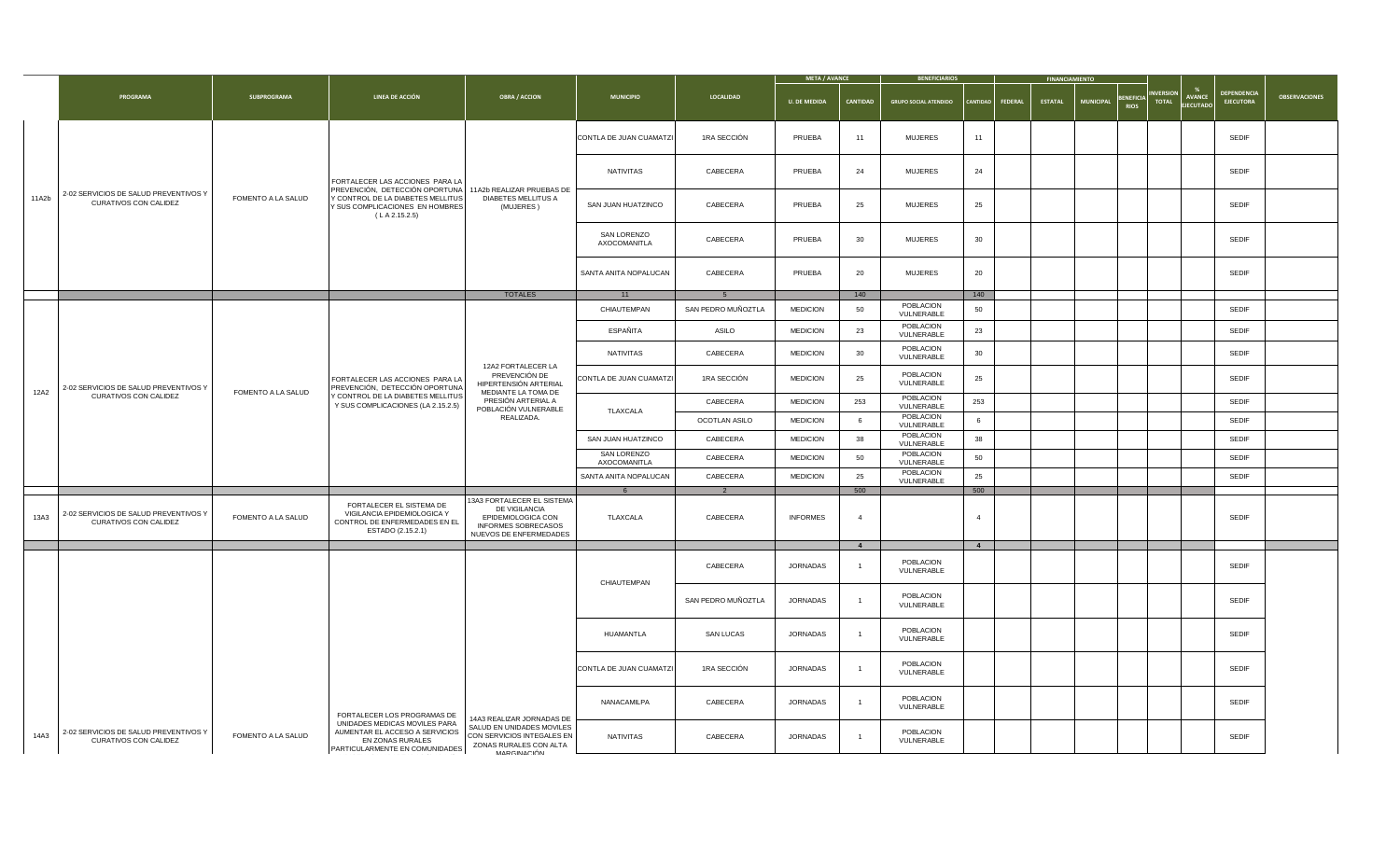|       |                                                                       |                           |                                                                                                                                                   |                                                                                                                                  |                                    |                                                              | <b>META / AVANCE</b> |                 | <b>BENEFICIARIOS</b>         |                |                    | <b>FINANCIAMIENTO</b> |                                                     |                                                                |                                        |                      |  |  |  |              |  |
|-------|-----------------------------------------------------------------------|---------------------------|---------------------------------------------------------------------------------------------------------------------------------------------------|----------------------------------------------------------------------------------------------------------------------------------|------------------------------------|--------------------------------------------------------------|----------------------|-----------------|------------------------------|----------------|--------------------|-----------------------|-----------------------------------------------------|----------------------------------------------------------------|----------------------------------------|----------------------|--|--|--|--------------|--|
|       | <b>PROGRAMA</b>                                                       | <b>SUBPROGRAMA</b>        | LINEA DE ACCIÓN                                                                                                                                   | <b>OBRA / ACCION</b>                                                                                                             | <b>MUNICIPIO</b>                   | <b>LOCALIDAD</b>                                             | <b>U. DE MEDIDA</b>  | <b>CANTIDAD</b> | <b>GRUPO SOCIAL ATENDIDO</b> |                | CANTIDAD   FEDERAL | <b>ESTATAL</b>        | <b>BENEFICIA</b><br><b>MUNICIPAL</b><br><b>RIOS</b> | <b>INVERSION</b><br><b>AVANCE</b><br><b>TOTAL</b><br>EJECUTADO | <b>DEPENDENCIA</b><br><b>EJECUTORA</b> | <b>OBSERVACIONES</b> |  |  |  |              |  |
|       |                                                                       |                           |                                                                                                                                                   |                                                                                                                                  | CONTLA DE JUAN CUAMATZI            | 1RA SECCIÓN                                                  | PRUEBA               | 11              | <b>MUJERES</b>               | 11             |                    |                       |                                                     |                                                                | <b>SEDIF</b>                           |                      |  |  |  |              |  |
|       |                                                                       |                           | FORTALECER LAS ACCIONES PARA LA                                                                                                                   |                                                                                                                                  | NATIVITAS                          | CABECERA                                                     | <b>PRUEBA</b>        | 24              | <b>MUJERES</b>               | 24             |                    |                       |                                                     |                                                                | <b>SEDIF</b>                           |                      |  |  |  |              |  |
| 11A2b | 2-02 SERVICIOS DE SALUD PREVENTIVOS Y<br><b>CURATIVOS CON CALIDEZ</b> | <b>FOMENTO A LA SALUD</b> | PREVENCIÓN, DETECCIÓN OPORTUNA 11A2b REALIZAR PRUEBAS DE<br>Y CONTROL DE LA DIABETES MELLITUS<br>Y SUS COMPLICACIONES EN HOMBRES<br>(LA 2.15.2.5) | <b>DIABETES MELLITUS A</b><br>(MUJERES )                                                                                         | SAN JUAN HUATZINCO                 | CABECERA                                                     | PRUEBA               | 25              | <b>MUJERES</b>               | 25             |                    |                       |                                                     |                                                                | <b>SEDIF</b>                           |                      |  |  |  |              |  |
|       |                                                                       |                           |                                                                                                                                                   |                                                                                                                                  | <b>SAN LORENZO</b><br>AXOCOMANITLA | CABECERA                                                     | PRUEBA               | 30              | <b>MUJERES</b>               | 30             |                    |                       |                                                     |                                                                | <b>SEDIF</b>                           |                      |  |  |  |              |  |
|       |                                                                       |                           |                                                                                                                                                   |                                                                                                                                  | SANTA ANITA NOPALUCAN              | CABECERA                                                     | PRUEBA               | 20              | <b>MUJERES</b>               | 20             |                    |                       |                                                     |                                                                | <b>SEDIF</b>                           |                      |  |  |  |              |  |
|       |                                                                       |                           |                                                                                                                                                   | <b>TOTALES</b>                                                                                                                   | 11                                 |                                                              |                      | 140             |                              | 140            |                    |                       |                                                     |                                                                |                                        |                      |  |  |  |              |  |
|       |                                                                       |                           |                                                                                                                                                   |                                                                                                                                  | CHIAUTEMPAN                        | SAN PEDRO MUÑOZTLA                                           | <b>MEDICION</b>      | 50              | POBLACION<br>VULNERABLE      | 50             |                    |                       |                                                     |                                                                | <b>SEDIF</b>                           |                      |  |  |  |              |  |
|       |                                                                       |                           |                                                                                                                                                   |                                                                                                                                  | ESPAÑITA                           | <b>ASILO</b>                                                 | <b>MEDICION</b>      | 23              | POBLACION<br>VULNERABLE      | 23             |                    |                       |                                                     |                                                                | <b>SEDIF</b>                           |                      |  |  |  |              |  |
|       |                                                                       |                           |                                                                                                                                                   | 12A2 FORTALECER LA                                                                                                               | NATIVITAS                          | CABECERA                                                     | <b>MEDICION</b>      | 30              | POBLACION<br>VULNERABLE      | 30             |                    |                       |                                                     |                                                                | <b>SEDIF</b>                           |                      |  |  |  |              |  |
| 12A2  | 2-02 SERVICIOS DE SALUD PREVENTIVOS Y<br><b>CURATIVOS CON CALIDEZ</b> | <b>FOMENTO A LA SALUD</b> | FORTALECER LAS ACCIONES PARA LA<br>PREVENCIÓN, DETECCIÓN OPORTUNA                                                                                 | PREVENCIÓN DE<br>HIPERTENSIÓN ARTERIAL<br>MEDIANTE LA TOMA DE                                                                    | CONTLA DE JUAN CUAMATZI            | 1RA SECCIÓN                                                  | <b>MEDICION</b>      | 25              | POBLACION<br>VULNERABLE      | 25             |                    |                       |                                                     |                                                                | <b>SEDIF</b>                           |                      |  |  |  |              |  |
|       |                                                                       |                           | Y CONTROL DE LA DIABETES MELLITUS<br>Y SUS COMPLICACIONES (LA 2.15.2.5)                                                                           | PRESIÓN ARTERIAL A                                                                                                               |                                    | CABECERA                                                     | <b>MEDICION</b>      | 253             | POBLACION<br>VULNERABLE      | 253            |                    |                       |                                                     |                                                                | <b>SEDIF</b>                           |                      |  |  |  |              |  |
|       |                                                                       |                           |                                                                                                                                                   | POBLACIÓN VULNERABLE<br>REALIZADA.                                                                                               | TLAXCALA                           | OCOTLAN ASILO                                                | <b>MEDICION</b>      |                 | POBLACION<br>VULNERABLE      |                |                    |                       |                                                     |                                                                | <b>SEDIF</b>                           |                      |  |  |  |              |  |
|       |                                                                       |                           |                                                                                                                                                   |                                                                                                                                  | SAN JUAN HUATZINCO                 | POBLACION<br><b>MEDICION</b><br>CABECERA<br>38<br>VULNERABLE |                      | 38              |                              |                |                    |                       | <b>SEDIF</b>                                        |                                                                |                                        |                      |  |  |  |              |  |
|       |                                                                       |                           |                                                                                                                                                   |                                                                                                                                  | <b>SAN LORENZO</b><br>AXOCOMANITLA | CABECERA                                                     | <b>MEDICION</b>      | 50              | POBLACION<br>VULNERABLE      | 50             |                    |                       |                                                     |                                                                | <b>SEDIF</b>                           |                      |  |  |  |              |  |
|       |                                                                       |                           |                                                                                                                                                   |                                                                                                                                  | SANTA ANITA NOPALUCAN              | CABECERA                                                     | <b>MEDICION</b>      | 25              | POBLACION<br>VULNERABLE      | 25             |                    |                       |                                                     |                                                                | <b>SEDIF</b>                           |                      |  |  |  |              |  |
|       |                                                                       |                           |                                                                                                                                                   |                                                                                                                                  |                                    | $\Omega$                                                     |                      | 500             |                              | 500            |                    |                       |                                                     |                                                                |                                        |                      |  |  |  |              |  |
| 13A3  | 2-02 SERVICIOS DE SALUD PREVENTIVOS Y<br><b>CURATIVOS CON CALIDEZ</b> | <b>FOMENTO A LA SALUD</b> | FORTALECER EL SISTEMA DE<br>VIGILANCIA EPIDEMIOLOGICA Y<br>CONTROL DE ENFERMEDADES EN EL<br>ESTADO (2.15.2.1)                                     | 13A3 FORTALECER EL SISTEMA<br>DE VIGILANCIA<br><b>EPIDEMIOLOGICA CON</b><br><b>INFORMES SOBRECASOS</b><br>NUEVOS DE ENFERMEDADES | TLAXCALA                           | CABECERA                                                     | <b>INFORMES</b>      |                 |                              |                |                    |                       |                                                     |                                                                | <b>SEDIF</b>                           |                      |  |  |  |              |  |
|       |                                                                       |                           |                                                                                                                                                   |                                                                                                                                  |                                    |                                                              |                      |                 |                              | $\overline{4}$ |                    |                       |                                                     |                                                                |                                        |                      |  |  |  |              |  |
|       |                                                                       |                           |                                                                                                                                                   |                                                                                                                                  | CHIAUTEMPAN                        | CABECERA                                                     | <b>JORNADAS</b>      |                 | POBLACION<br>VULNERABLE      |                |                    |                       |                                                     |                                                                | <b>SEDIF</b>                           |                      |  |  |  |              |  |
|       |                                                                       |                           |                                                                                                                                                   |                                                                                                                                  |                                    | SAN PEDRO MUÑOZTLA                                           | <b>JORNADAS</b>      |                 | POBLACION<br>VULNERABLE      |                |                    |                       |                                                     |                                                                | <b>SEDIF</b>                           |                      |  |  |  |              |  |
|       |                                                                       |                           |                                                                                                                                                   |                                                                                                                                  |                                    |                                                              |                      |                 |                              | HUAMANTLA      | <b>SAN LUCAS</b>   | <b>JORNADAS</b>       |                                                     | POBLACION<br>VULNERABLE                                        |                                        |                      |  |  |  | <b>SEDIF</b> |  |
|       |                                                                       |                           |                                                                                                                                                   |                                                                                                                                  | CONTLA DE JUAN CUAMATZI            | 1RA SECCIÓN                                                  | <b>JORNADAS</b>      |                 | POBLACION<br>VULNERABLE      |                |                    |                       |                                                     |                                                                | <b>SEDIF</b>                           |                      |  |  |  |              |  |
|       |                                                                       |                           | FORTALECER LOS PROGRAMAS DE                                                                                                                       | 14A3 REALIZAR JORNADAS DE                                                                                                        | NANACAMILPA                        | CABECERA                                                     | <b>JORNADAS</b>      |                 | POBLACION<br>VULNERABLE      |                |                    |                       |                                                     |                                                                | <b>SEDIF</b>                           |                      |  |  |  |              |  |
| 14A3  | 2-02 SERVICIOS DE SALUD PREVENTIVOS Y<br><b>CURATIVOS CON CALIDEZ</b> | <b>FOMENTO A LA SALUD</b> | UNIDADES MEDICAS MOVILES PARA<br>AUMENTAR EL ACCESO A SERVICIOS<br>EN ZONAS RURALES<br><b>PARTICULARMENTE EN COMUNIDADES</b>                      | SALUD EN UNIDADES MOVILES<br>CON SERVICIOS INTEGALES EN<br>ZONAS RURALES CON ALTA<br>MARCINACIÓN                                 | NATIVITAS                          | CABECERA                                                     | <b>JORNADAS</b>      |                 | POBLACION<br>VULNERABLE      |                |                    |                       |                                                     |                                                                | <b>SEDIF</b>                           |                      |  |  |  |              |  |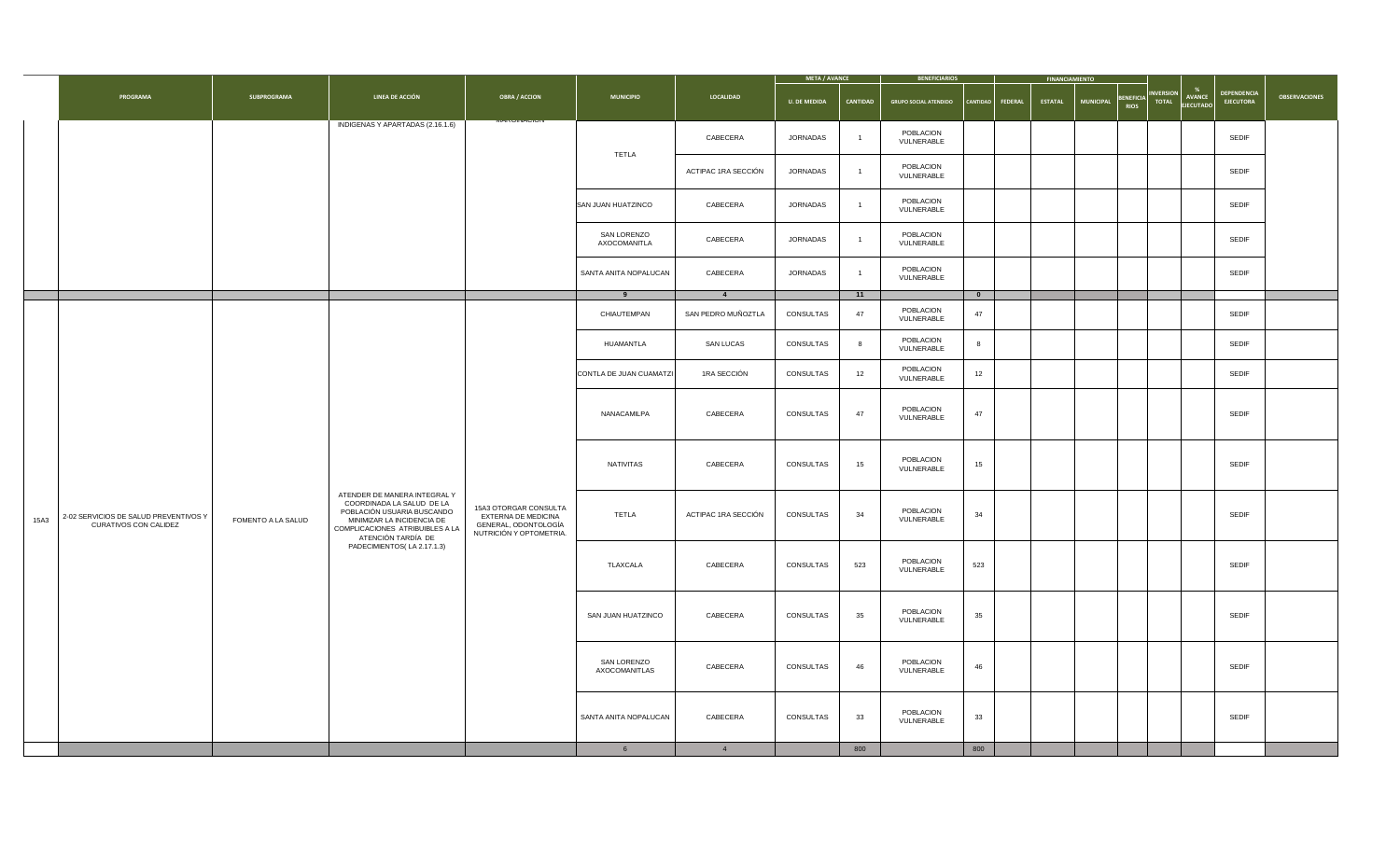|      |                                                                       |                           |                                                                                                                                                                                |                                                                                                 |                                    |                     | <b>META / AVANCE</b> |                         | <b>BENEFICIARIOS</b>         |              |                    | <b>FINANCIAMIENTO</b> |                                                     |                                                                           |                                        |                      |                         |    |  |  |  |  |              |  |
|------|-----------------------------------------------------------------------|---------------------------|--------------------------------------------------------------------------------------------------------------------------------------------------------------------------------|-------------------------------------------------------------------------------------------------|------------------------------------|---------------------|----------------------|-------------------------|------------------------------|--------------|--------------------|-----------------------|-----------------------------------------------------|---------------------------------------------------------------------------|----------------------------------------|----------------------|-------------------------|----|--|--|--|--|--------------|--|
|      | <b>PROGRAMA</b>                                                       | <b>SUBPROGRAMA</b>        | <b>LINEA DE ACCIÓN</b>                                                                                                                                                         | <b>OBRA / ACCION</b>                                                                            | <b>MUNICIPIO</b>                   | <b>LOCALIDAD</b>    | <b>U. DE MEDIDA</b>  | <b>CANTIDAD</b>         | <b>GRUPO SOCIAL ATENDIDO</b> |              | CANTIDAD   FEDERAL | <b>ESTATAL</b>        | <b>BENEFICIA</b><br><b>MUNICIPAL</b><br><b>RIOS</b> | <b>INVERSION</b><br><b>AVANCE</b><br><b>TOTAL</b><br>$ \text{EIECUTADO} $ | <b>DEPENDENCIA</b><br><b>EJECUTORA</b> | <b>OBSERVACIONES</b> |                         |    |  |  |  |  |              |  |
|      |                                                                       |                           | INDIGENAS Y APARTADAS (2.16.1.6)                                                                                                                                               |                                                                                                 |                                    | CABECERA            | <b>JORNADAS</b>      |                         | POBLACION<br>VULNERABLE      |              |                    |                       |                                                     |                                                                           | <b>SEDIF</b>                           |                      |                         |    |  |  |  |  |              |  |
|      |                                                                       |                           |                                                                                                                                                                                |                                                                                                 | <b>TETLA</b>                       | ACTIPAC 1RA SECCIÓN | <b>JORNADAS</b>      |                         | POBLACION<br>VULNERABLE      |              |                    |                       |                                                     |                                                                           | <b>SEDIF</b>                           |                      |                         |    |  |  |  |  |              |  |
|      |                                                                       |                           |                                                                                                                                                                                |                                                                                                 | SAN JUAN HUATZINCO                 | CABECERA            | <b>JORNADAS</b>      |                         | POBLACION<br>VULNERABLE      |              |                    |                       |                                                     |                                                                           | <b>SEDIF</b>                           |                      |                         |    |  |  |  |  |              |  |
|      |                                                                       |                           |                                                                                                                                                                                |                                                                                                 | <b>SAN LORENZO</b><br>AXOCOMANITLA | CABECERA            | <b>JORNADAS</b>      |                         | POBLACION<br>VULNERABLE      |              |                    |                       |                                                     |                                                                           | <b>SEDIF</b>                           |                      |                         |    |  |  |  |  |              |  |
|      |                                                                       |                           |                                                                                                                                                                                |                                                                                                 | SANTA ANITA NOPALUCAN              | CABECERA            | <b>JORNADAS</b>      |                         | POBLACION<br>VULNERABLE      |              |                    |                       |                                                     |                                                                           | <b>SEDIF</b>                           |                      |                         |    |  |  |  |  |              |  |
|      |                                                                       |                           |                                                                                                                                                                                |                                                                                                 |                                    |                     |                      | 11                      |                              | $\mathbf{0}$ |                    |                       |                                                     |                                                                           |                                        |                      |                         |    |  |  |  |  |              |  |
|      |                                                                       |                           |                                                                                                                                                                                |                                                                                                 | CHIAUTEMPAN                        | SAN PEDRO MUÑOZTLA  | CONSULTAS            | 47                      | POBLACION<br>VULNERABLE      | 47           |                    |                       |                                                     |                                                                           | <b>SEDIF</b>                           |                      |                         |    |  |  |  |  |              |  |
|      |                                                                       |                           |                                                                                                                                                                                |                                                                                                 | HUAMANTLA                          | <b>SAN LUCAS</b>    | CONSULTAS            |                         | POBLACION<br>VULNERABLE      |              |                    |                       |                                                     | <b>SEDIF</b>                                                              |                                        |                      |                         |    |  |  |  |  |              |  |
|      |                                                                       |                           |                                                                                                                                                                                |                                                                                                 | CONTLA DE JUAN CUAMATZI            | 1RA SECCIÓN         | CONSULTAS            | 12                      | POBLACION<br>VULNERABLE      | 12           |                    |                       |                                                     |                                                                           | <b>SEDIF</b>                           |                      |                         |    |  |  |  |  |              |  |
|      |                                                                       |                           |                                                                                                                                                                                |                                                                                                 | NANACAMILPA                        | CABECERA            | CONSULTAS            | 47                      | POBLACION<br>VULNERABLE      | 47           |                    |                       |                                                     |                                                                           | <b>SEDIF</b>                           |                      |                         |    |  |  |  |  |              |  |
|      |                                                                       |                           |                                                                                                                                                                                |                                                                                                 | NATIVITAS                          | CABECERA            | CONSULTAS            | 15                      | POBLACION<br>VULNERABLE      | 15           |                    |                       |                                                     |                                                                           | <b>SEDIF</b>                           |                      |                         |    |  |  |  |  |              |  |
| 15A3 | 2-02 SERVICIOS DE SALUD PREVENTIVOS Y<br><b>CURATIVOS CON CALIDEZ</b> | <b>FOMENTO A LA SALUD</b> | ATENDER DE MANERA INTEGRAL Y<br>COORDINADA LA SALUD DE LA<br>POBLACIÓN USUARIA BUSCANDO<br>MINIMIZAR LA INCIDENCIA DE<br>COMPLICACIONES ATRIBUIBLES A LA<br>ATENCIÓN TARDÍA DE | 15A3 OTORGAR CONSULTA<br>EXTERNA DE MEDICINA<br>GENERAL, ODONTOLOGÍA<br>NUTRICIÓN Y OPTOMETRIA. | <b>TETLA</b>                       | ACTIPAC 1RA SECCIÓN | CONSULTAS            | 34                      | POBLACION<br>VULNERABLE      | 34           |                    |                       |                                                     |                                                                           | <b>SEDIF</b>                           |                      |                         |    |  |  |  |  |              |  |
|      |                                                                       |                           | PADECIMIENTOS(LA 2.17.1.3)                                                                                                                                                     |                                                                                                 | TLAXCALA                           | CABECERA            | CONSULTAS            | 523                     | POBLACION<br>VULNERABLE      | 523          |                    |                       |                                                     |                                                                           | <b>SEDIF</b>                           |                      |                         |    |  |  |  |  |              |  |
|      |                                                                       |                           |                                                                                                                                                                                |                                                                                                 |                                    |                     |                      |                         |                              |              |                    |                       | SAN JUAN HUATZINCO                                  | CABECERA                                                                  | CONSULTAS                              | 35                   | POBLACION<br>VULNERABLE | 35 |  |  |  |  | <b>SEDIF</b> |  |
|      |                                                                       |                           |                                                                                                                                                                                | <b>SAN LORENZO</b><br>AXOCOMANITLAS                                                             | CABECERA                           | CONSULTAS           | 46                   | POBLACION<br>VULNERABLE | 46                           |              |                    |                       |                                                     | <b>SEDIF</b>                                                              |                                        |                      |                         |    |  |  |  |  |              |  |
|      |                                                                       |                           |                                                                                                                                                                                |                                                                                                 | SANTA ANITA NOPALUCAN              | CABECERA            | CONSULTAS            | 33                      | POBLACION<br>VULNERABLE      | 33           |                    |                       |                                                     |                                                                           | <b>SEDIF</b>                           |                      |                         |    |  |  |  |  |              |  |
|      |                                                                       |                           |                                                                                                                                                                                |                                                                                                 |                                    |                     |                      | 800                     |                              | 800          |                    |                       |                                                     |                                                                           |                                        |                      |                         |    |  |  |  |  |              |  |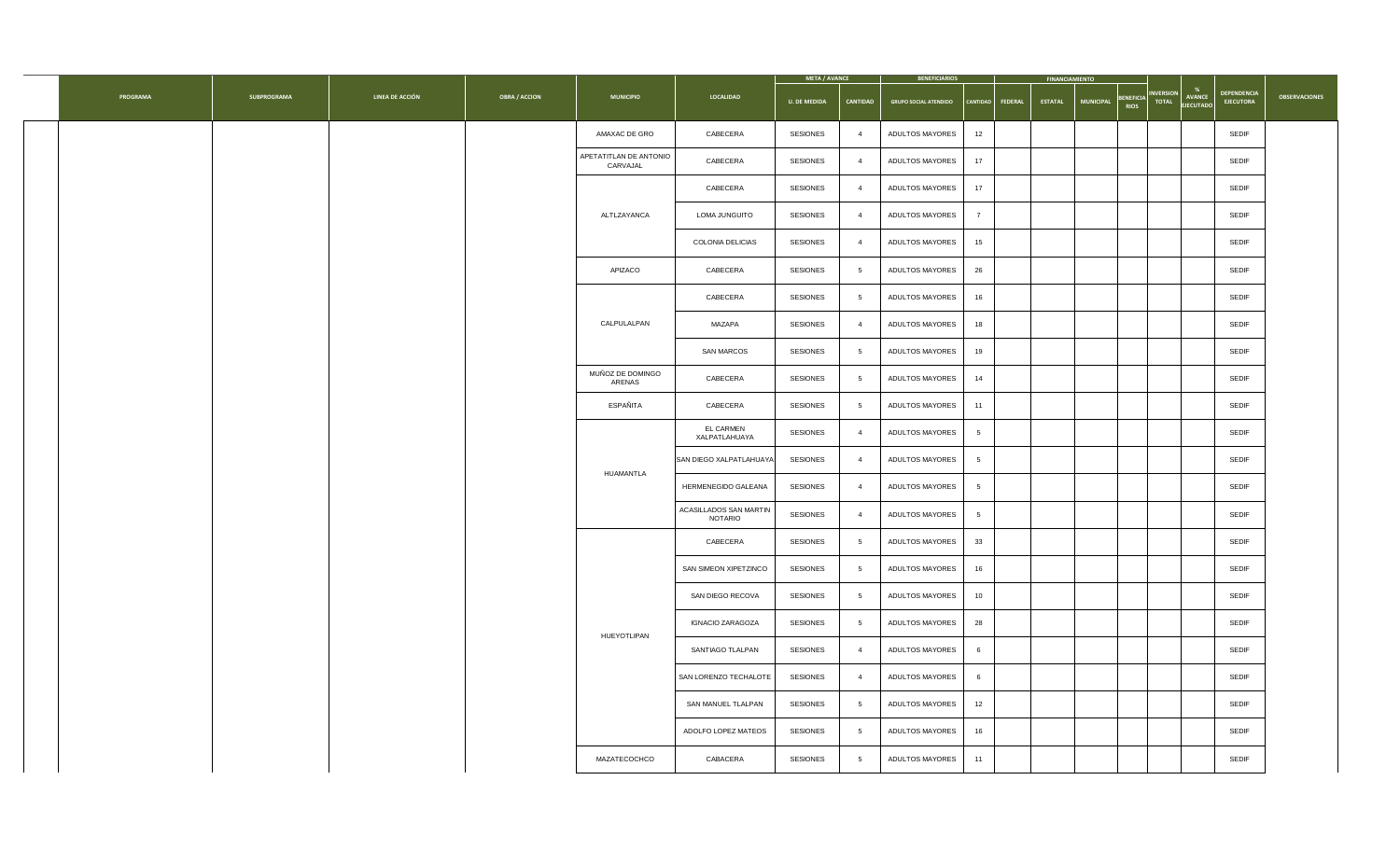|                 |                    |                        |                      |                                    |                                          | <b>META / AVANCE</b> |                 | <b>BENEFICIARIOS</b>         |    |                  | <b>FINANCIAMIENTO</b> |           |                                                            |                                                                      |                      |
|-----------------|--------------------|------------------------|----------------------|------------------------------------|------------------------------------------|----------------------|-----------------|------------------------------|----|------------------|-----------------------|-----------|------------------------------------------------------------|----------------------------------------------------------------------|----------------------|
| <b>PROGRAMA</b> | <b>SUBPROGRAMA</b> | <b>LINEA DE ACCIÓN</b> | <b>OBRA / ACCION</b> | <b>MUNICIPIO</b>                   | LOCALIDAD                                | <b>U. DE MEDIDA</b>  | <b>CANTIDAD</b> | <b>GRUPO SOCIAL ATENDIDO</b> |    | CANTIDAD FEDERAL | <b>ESTATAL</b>        | MUNICIPAL | <b>INVERSION</b><br>BENEFICIA <sup>T</sup><br><b>TOTAL</b> | <b>DEPENDENCIA</b><br>AVANCE<br><b>EJECUTORA</b><br><b>EJECUTADO</b> | <b>OBSERVACIONES</b> |
|                 |                    |                        |                      | AMAXAC DE GRO                      | <b>CABECERA</b>                          | <b>SESIONES</b>      | - 4             | <b>ADULTOS MAYORES</b>       | 12 |                  |                       |           |                                                            | <b>SEDIF</b>                                                         |                      |
|                 |                    |                        |                      | APETATITLAN DE ANTONIO<br>CARVAJAL | <b>CABECERA</b>                          | <b>SESIONES</b>      | - 4             | <b>ADULTOS MAYORES</b>       | 17 |                  |                       |           |                                                            | <b>SEDIF</b>                                                         |                      |
|                 |                    |                        |                      |                                    | <b>CABECERA</b>                          | <b>SESIONES</b>      | $\overline{4}$  | <b>ADULTOS MAYORES</b>       | 17 |                  |                       |           |                                                            | <b>SEDIF</b>                                                         |                      |
|                 |                    |                        |                      | ALTLZAYANCA                        | <b>LOMA JUNGUITO</b>                     | <b>SESIONES</b>      | $\overline{a}$  | <b>ADULTOS MAYORES</b>       |    |                  |                       |           |                                                            | <b>SEDIF</b>                                                         |                      |
|                 |                    |                        |                      |                                    | <b>COLONIA DELICIAS</b>                  | <b>SESIONES</b>      | - 4             | <b>ADULTOS MAYORES</b>       | 15 |                  |                       |           |                                                            | <b>SEDIF</b>                                                         |                      |
|                 |                    |                        |                      | APIZACO                            | <b>CABECERA</b>                          | <b>SESIONES</b>      |                 | <b>ADULTOS MAYORES</b>       | 26 |                  |                       |           |                                                            | <b>SEDIF</b>                                                         |                      |
|                 |                    |                        |                      |                                    | <b>CABECERA</b>                          | <b>SESIONES</b>      |                 | <b>ADULTOS MAYORES</b>       | 16 |                  |                       |           |                                                            | <b>SEDIF</b>                                                         |                      |
|                 |                    |                        |                      | CALPULALPAN                        | <b>MAZAPA</b>                            | <b>SESIONES</b>      | -4              | <b>ADULTOS MAYORES</b>       | 18 |                  |                       |           |                                                            | <b>SEDIF</b>                                                         |                      |
|                 |                    |                        |                      |                                    | <b>SAN MARCOS</b>                        | <b>SESIONES</b>      |                 | <b>ADULTOS MAYORES</b>       | 19 |                  |                       |           |                                                            | <b>SEDIF</b>                                                         |                      |
|                 |                    |                        |                      | MUÑOZ DE DOMINGO<br>ARENAS         | <b>CABECERA</b>                          | <b>SESIONES</b>      |                 | <b>ADULTOS MAYORES</b>       | 14 |                  |                       |           |                                                            | <b>SEDIF</b>                                                         |                      |
|                 |                    |                        |                      | ESPAÑITA                           | <b>CABECERA</b>                          | <b>SESIONES</b>      |                 | <b>ADULTOS MAYORES</b>       | 11 |                  |                       |           |                                                            | <b>SEDIF</b>                                                         |                      |
|                 |                    |                        |                      |                                    | <b>EL CARMEN</b><br>XALPATLAHUAYA        | <b>SESIONES</b>      |                 | <b>ADULTOS MAYORES</b>       |    |                  |                       |           |                                                            | <b>SEDIF</b>                                                         |                      |
|                 |                    |                        |                      | HUAMANTLA                          | SAN DIEGO XALPATLAHUAYA                  | <b>SESIONES</b>      |                 | <b>ADULTOS MAYORES</b>       |    |                  |                       |           |                                                            | <b>SEDIF</b>                                                         |                      |
|                 |                    |                        |                      |                                    | <b>HERMENEGIDO GALEANA</b>               | <b>SESIONES</b>      |                 | <b>ADULTOS MAYORES</b>       |    |                  |                       |           |                                                            | <b>SEDIF</b>                                                         |                      |
|                 |                    |                        |                      |                                    | ACASILLADOS SAN MARTIN<br><b>NOTARIO</b> | <b>SESIONES</b>      |                 | <b>ADULTOS MAYORES</b>       |    |                  |                       |           |                                                            | <b>SEDIF</b>                                                         |                      |
|                 |                    |                        |                      |                                    | <b>CABECERA</b>                          | <b>SESIONES</b>      |                 | <b>ADULTOS MAYORES</b>       | 33 |                  |                       |           |                                                            | <b>SEDIF</b>                                                         |                      |
|                 |                    |                        |                      |                                    | SAN SIMEON XIPETZINCO                    | <b>SESIONES</b>      |                 | <b>ADULTOS MAYORES</b>       | 16 |                  |                       |           |                                                            | <b>SEDIF</b>                                                         |                      |
|                 |                    |                        |                      |                                    | SAN DIEGO RECOVA                         | <b>SESIONES</b>      |                 | <b>ADULTOS MAYORES</b>       | 10 |                  |                       |           |                                                            | <b>SEDIF</b>                                                         |                      |
|                 |                    |                        |                      | HUEYOTLIPAN                        | <b>IGNACIO ZARAGOZA</b>                  | <b>SESIONES</b>      |                 | <b>ADULTOS MAYORES</b>       | 28 |                  |                       |           |                                                            | <b>SEDIF</b>                                                         |                      |
|                 |                    |                        |                      |                                    | <b>SANTIAGO TLALPAN</b>                  | <b>SESIONES</b>      |                 | <b>ADULTOS MAYORES</b>       |    |                  |                       |           |                                                            | <b>SEDIF</b>                                                         |                      |
|                 |                    |                        |                      |                                    | SAN LORENZO TECHALOTE                    | <b>SESIONES</b>      |                 | <b>ADULTOS MAYORES</b>       |    |                  |                       |           |                                                            | <b>SEDIF</b>                                                         |                      |
|                 |                    |                        |                      |                                    | SAN MANUEL TLALPAN                       | <b>SESIONES</b>      |                 | <b>ADULTOS MAYORES</b>       | 12 |                  |                       |           |                                                            | <b>SEDIF</b>                                                         |                      |
|                 |                    |                        |                      |                                    | ADOLFO LOPEZ MATEOS                      | <b>SESIONES</b>      |                 | <b>ADULTOS MAYORES</b>       | 16 |                  |                       |           |                                                            | <b>SEDIF</b>                                                         |                      |
|                 |                    |                        |                      | MAZATECOCHCO                       | <b>CABACERA</b>                          | <b>SESIONES</b>      |                 | <b>ADULTOS MAYORES</b>       | 11 |                  |                       |           |                                                            | <b>SEDIF</b>                                                         |                      |
|                 |                    |                        |                      |                                    |                                          |                      |                 |                              |    |                  |                       |           |                                                            |                                                                      |                      |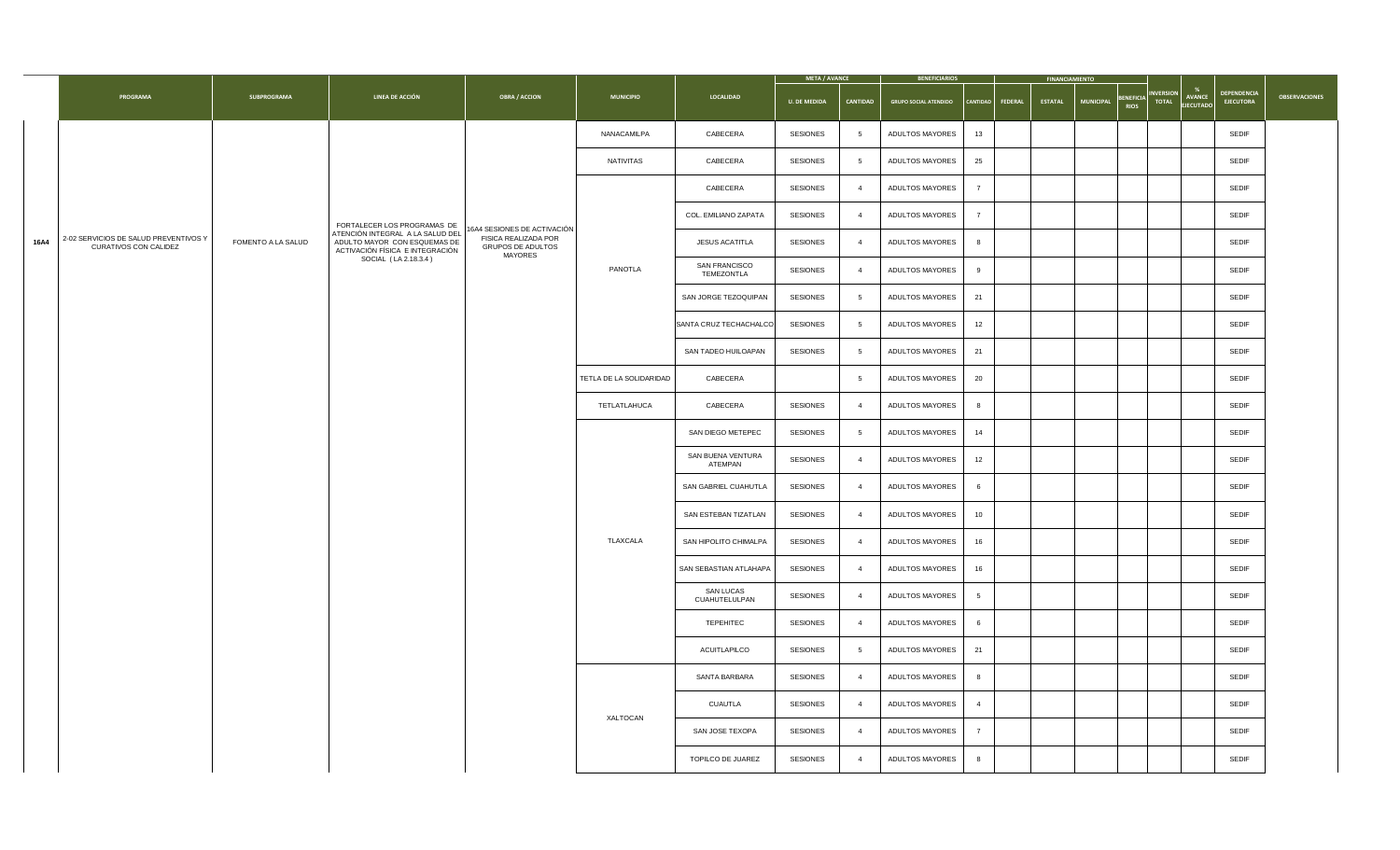|             |                                                                       |                           |                                                                                                     |                                                                           |                         |                                    | <b>META / AVANCE</b> |                 | <b>BENEFICIARIOS</b>                      |                    | <b>FINANCIAMIENTO</b> |                                                          |                                                                                                                      |                      |
|-------------|-----------------------------------------------------------------------|---------------------------|-----------------------------------------------------------------------------------------------------|---------------------------------------------------------------------------|-------------------------|------------------------------------|----------------------|-----------------|-------------------------------------------|--------------------|-----------------------|----------------------------------------------------------|----------------------------------------------------------------------------------------------------------------------|----------------------|
|             | <b>PROGRAMA</b>                                                       | <b>SUBPROGRAMA</b>        | <b>LINEA DE ACCIÓN</b>                                                                              | <b>OBRA / ACCION</b>                                                      | <b>MUNICIPIO</b>        | <b>LOCALIDAD</b>                   | <b>U. DE MEDIDA</b>  | <b>CANTIDAD</b> | <b>GRUPO SOCIAL ATENDIDO</b>              | CANTIDAD   FEDERAL | <b>ESTATAL</b>        | <b>BENEFICIA<sup>"</sup></b><br>RIOS<br><b>MUNICIPAL</b> | <b>DEPENDENCIA<br/>EJECUTORA</b><br>$\begin{bmatrix}$ INVERSION $\end{bmatrix}$<br><b>AVANCE</b><br><b>EJECUTADO</b> | <b>OBSERVACIONES</b> |
|             |                                                                       |                           |                                                                                                     |                                                                           | NANACAMILPA             | CABECERA                           | <b>SESIONES</b>      |                 | ADULTOS MAYORES<br>13                     |                    |                       |                                                          | <b>SEDIF</b>                                                                                                         |                      |
|             |                                                                       |                           |                                                                                                     |                                                                           | NATIVITAS               | CABECERA                           | <b>SESIONES</b>      |                 | 25<br><b>ADULTOS MAYORES</b>              |                    |                       |                                                          | <b>SEDIF</b>                                                                                                         |                      |
|             |                                                                       |                           |                                                                                                     |                                                                           |                         | CABECERA                           | <b>SESIONES</b>      |                 | <b>ADULTOS MAYORES</b>                    |                    |                       |                                                          | <b>SEDIF</b>                                                                                                         |                      |
|             |                                                                       |                           | FORTALECER LOS PROGRAMAS DE                                                                         | 16A4 SESIONES DE ACTIVACIÓN                                               |                         | COL. EMILIANO ZAPATA               | <b>SESIONES</b>      |                 | <b>ADULTOS MAYORES</b>                    |                    |                       |                                                          | <b>SEDIF</b>                                                                                                         |                      |
| <b>16A4</b> | 2-02 SERVICIOS DE SALUD PREVENTIVOS Y<br><b>CURATIVOS CON CALIDEZ</b> | <b>FOMENTO A LA SALUD</b> | ATENCIÓN INTEGRAL A LA SALUD DEL<br>ADULTO MAYOR CON ESQUEMAS DE<br>ACTIVACIÓN FÍSICA E INTEGRACIÓN | <b>FISICA REALIZADA POR</b><br><b>GRUPOS DE ADULTOS</b><br><b>MAYORES</b> |                         | <b>JESUS ACATITLA</b>              | <b>SESIONES</b>      |                 | <b>ADULTOS MAYORES</b><br>8               |                    |                       |                                                          | <b>SEDIF</b>                                                                                                         |                      |
|             |                                                                       |                           | SOCIAL (LA 2.18.3.4)                                                                                |                                                                           | PANOTLA                 | <b>SAN FRANCISCO</b><br>TEMEZONTLA | <b>SESIONES</b>      |                 | <b>ADULTOS MAYORES</b><br>9               |                    |                       |                                                          | <b>SEDIF</b>                                                                                                         |                      |
|             |                                                                       |                           |                                                                                                     |                                                                           |                         | SAN JORGE TEZOQUIPAN               | <b>SESIONES</b>      |                 | 21<br><b>ADULTOS MAYORES</b>              |                    |                       |                                                          | <b>SEDIF</b>                                                                                                         |                      |
|             |                                                                       |                           |                                                                                                     |                                                                           |                         | SANTA CRUZ TECHACHALCO             | <b>SESIONES</b>      |                 | <b>ADULTOS MAYORES</b><br>12              |                    |                       |                                                          | <b>SEDIF</b>                                                                                                         |                      |
|             |                                                                       |                           |                                                                                                     |                                                                           |                         | <b>SAN TADEO HUILOAPAN</b>         | <b>SESIONES</b>      |                 | <b>ADULTOS MAYORES</b><br>21              |                    |                       |                                                          | <b>SEDIF</b>                                                                                                         |                      |
|             |                                                                       |                           |                                                                                                     |                                                                           | TETLA DE LA SOLIDARIDAD | CABECERA                           |                      |                 | 20<br><b>ADULTOS MAYORES</b>              |                    |                       |                                                          | <b>SEDIF</b>                                                                                                         |                      |
|             |                                                                       |                           |                                                                                                     |                                                                           | TETLATLAHUCA            | CABECERA                           | <b>SESIONES</b>      |                 | <b>ADULTOS MAYORES</b><br>8               |                    |                       |                                                          | <b>SEDIF</b>                                                                                                         |                      |
|             |                                                                       |                           |                                                                                                     |                                                                           |                         | SAN DIEGO METEPEC                  | <b>SESIONES</b>      |                 | <b>ADULTOS MAYORES</b><br>14              |                    |                       |                                                          | <b>SEDIF</b>                                                                                                         |                      |
|             |                                                                       |                           |                                                                                                     |                                                                           |                         | SAN BUENA VENTURA<br>ATEMPAN       | <b>SESIONES</b>      |                 | <b>ADULTOS MAYORES</b><br>12              |                    |                       |                                                          | <b>SEDIF</b>                                                                                                         |                      |
|             |                                                                       |                           |                                                                                                     |                                                                           |                         | <b>SAN GABRIEL CUAHUTLA</b>        | <b>SESIONES</b>      |                 | <b>ADULTOS MAYORES</b><br>6               |                    |                       |                                                          | <b>SEDIF</b>                                                                                                         |                      |
|             |                                                                       |                           |                                                                                                     |                                                                           |                         | SAN ESTEBAN TIZATLAN               | <b>SESIONES</b>      |                 | <b>ADULTOS MAYORES</b><br>10 <sup>°</sup> |                    |                       |                                                          | <b>SEDIF</b>                                                                                                         |                      |
|             |                                                                       |                           |                                                                                                     |                                                                           | TLAXCALA                | SAN HIPOLITO CHIMALPA              | <b>SESIONES</b>      |                 | ADULTOS MAYORES<br>16                     |                    |                       |                                                          | <b>SEDIF</b>                                                                                                         |                      |
|             |                                                                       |                           |                                                                                                     |                                                                           |                         | SAN SEBASTIAN ATLAHAPA             | <b>SESIONES</b>      |                 | <b>ADULTOS MAYORES</b><br>16              |                    |                       |                                                          | <b>SEDIF</b>                                                                                                         |                      |
|             |                                                                       |                           |                                                                                                     |                                                                           |                         | <b>SAN LUCAS</b><br>CUAHUTELULPAN  | <b>SESIONES</b>      |                 | <b>ADULTOS MAYORES</b>                    |                    |                       |                                                          | <b>SEDIF</b>                                                                                                         |                      |
|             |                                                                       |                           |                                                                                                     |                                                                           |                         | <b>TEPEHITEC</b>                   | <b>SESIONES</b>      |                 | <b>ADULTOS MAYORES</b><br>6               |                    |                       |                                                          | <b>SEDIF</b>                                                                                                         |                      |
|             |                                                                       |                           |                                                                                                     |                                                                           |                         | ACUITLAPILCO                       | <b>SESIONES</b>      |                 | 21<br><b>ADULTOS MAYORES</b>              |                    |                       |                                                          | <b>SEDIF</b>                                                                                                         |                      |
|             |                                                                       |                           |                                                                                                     |                                                                           |                         | SANTA BARBARA                      | <b>SESIONES</b>      |                 | <b>ADULTOS MAYORES</b><br>8               |                    |                       |                                                          | <b>SEDIF</b>                                                                                                         |                      |
|             |                                                                       |                           |                                                                                                     |                                                                           | <b>XALTOCAN</b>         | <b>CUAUTLA</b>                     | <b>SESIONES</b>      |                 | <b>ADULTOS MAYORES</b><br>$\overline{4}$  |                    |                       |                                                          | <b>SEDIF</b>                                                                                                         |                      |
|             |                                                                       |                           |                                                                                                     |                                                                           |                         | SAN JOSE TEXOPA                    | <b>SESIONES</b>      |                 | <b>ADULTOS MAYORES</b>                    |                    |                       |                                                          | <b>SEDIF</b>                                                                                                         |                      |
|             |                                                                       |                           |                                                                                                     |                                                                           |                         | <b>TOPILCO DE JUAREZ</b>           | <b>SESIONES</b>      |                 | <b>ADULTOS MAYORES</b><br>8               |                    |                       |                                                          | <b>SEDIF</b>                                                                                                         |                      |